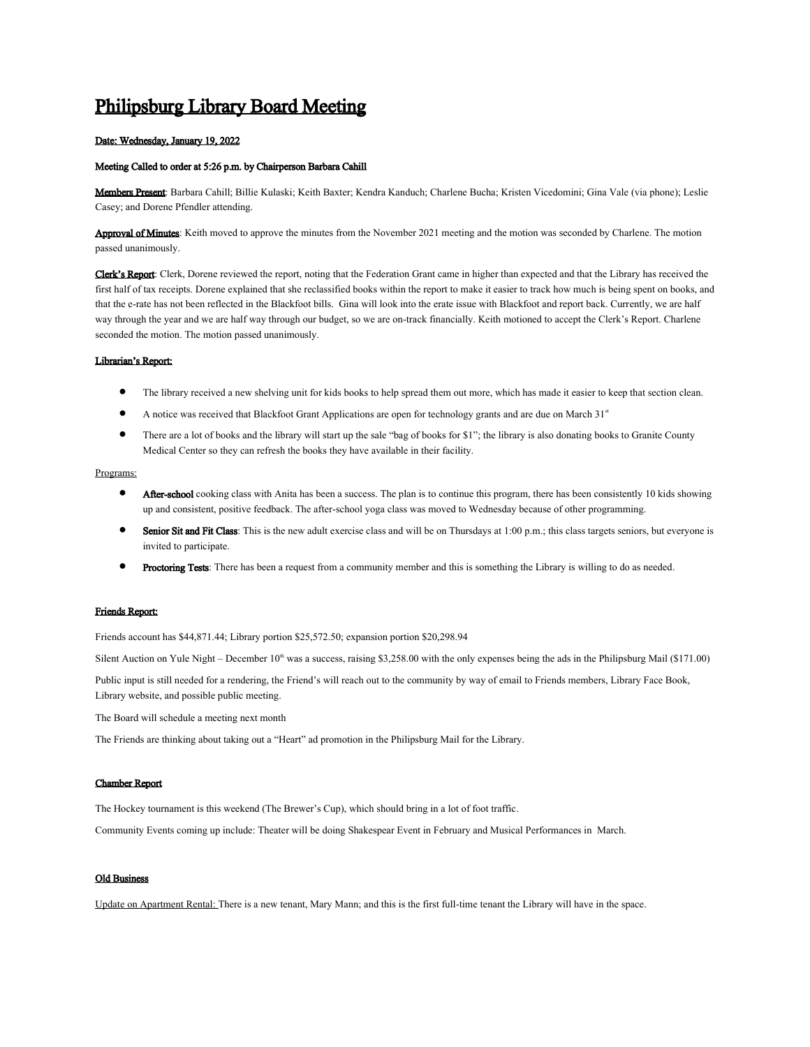# Philipsburg Library Board Meeting

### Date: Wednesday, January 19, 2022

## Meeting Called to order at 5:26 p.m. by Chairperson Barbara Cahill

Members Present: Barbara Cahill; Billie Kulaski; Keith Baxter; Kendra Kanduch; Charlene Bucha; Kristen Vicedomini; Gina Vale (via phone); Leslie Casey; and Dorene Pfendler attending.

Approval of Minutes: Keith moved to approve the minutes from the November 2021 meeting and the motion was seconded by Charlene. The motion passed unanimously.

Clerk's Report: Clerk, Dorene reviewed the report, noting that the Federation Grant came in higher than expected and that the Library has received the first half of tax receipts. Dorene explained that she reclassified books within the report to make it easier to track how much is being spent on books, and that the e-rate has not been reflected in the Blackfoot bills. Gina will look into the erate issue with Blackfoot and report back. Currently, we are half way through the year and we are half way through our budget, so we are on-track financially. Keith motioned to accept the Clerk's Report. Charlene seconded the motion. The motion passed unanimously.

#### Librarian's Report:

- The library received a new shelving unit for kids books to help spread them out more, which has made it easier to keep that section clean.
- A notice was received that Blackfoot Grant Applications are open for technology grants and are due on March 31<sup>st</sup>
- There are a lot of books and the library will start up the sale "bag of books for \$1"; the library is also donating books to Granite County Medical Center so they can refresh the books they have available in their facility.

### Programs:

- After-school cooking class with Anita has been a success. The plan is to continue this program, there has been consistently 10 kids showing up and consistent, positive feedback. The after-school yoga class was moved to Wednesday because of other programming.
- Senior Sit and Fit Class: This is the new adult exercise class and will be on Thursdays at 1:00 p.m.; this class targets seniors, but everyone is invited to participate.
- Proctoring Tests: There has been a request from a community member and this is something the Library is willing to do as needed.

# Friends Report:

Friends account has \$44,871.44; Library portion \$25,572.50; expansion portion \$20,298.94

Silent Auction on Yule Night – December  $10<sup>th</sup>$  was a success, raising \$3,258.00 with the only expenses being the ads in the Philipsburg Mail (\$171.00)

Public input is still needed for a rendering, the Friend's will reach out to the community by way of email to Friends members, Library Face Book, Library website, and possible public meeting.

The Board will schedule a meeting next month

The Friends are thinking about taking out a "Heart" ad promotion in the Philipsburg Mail for the Library.

#### Chamber Report

The Hockey tournament is this weekend (The Brewer's Cup), which should bring in a lot of foot traffic.

Community Events coming up include: Theater will be doing Shakespear Event in February and Musical Performances in March.

# **Old Business**

Update on Apartment Rental: There is a new tenant, Mary Mann; and this is the first full-time tenant the Library will have in the space.